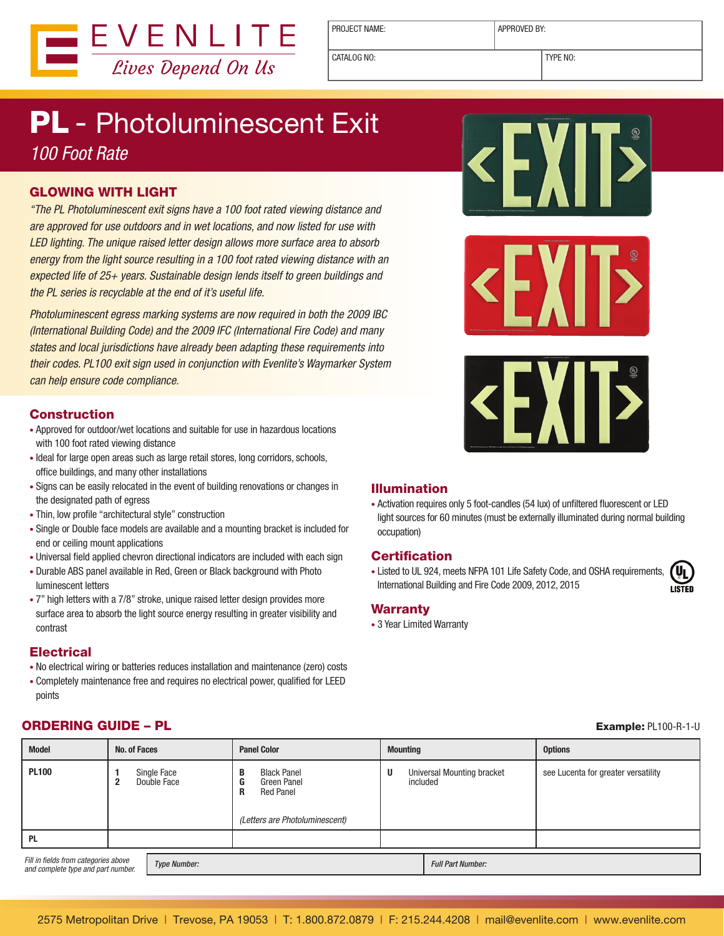

PROJECT NAME: <br> APPROVED BY:

CATALOG NO: TYPE NO:

## PL - Photoluminescent Exit *100 Foot Rate*

#### GLOWING WITH LIGHT

*"The PL Photoluminescent exit signs have a 100 foot rated viewing distance and are approved for use outdoors and in wet locations, and now listed for use with LED lighting. The unique raised letter design allows more surface area to absorb energy from the light source resulting in a 100 foot rated viewing distance with an expected life of 25+ years. Sustainable design lends itself to green buildings and the PL series is recyclable at the end of it's useful life.* 

*Photoluminescent egress marking systems are now required in both the 2009 IBC (International Building Code) and the 2009 IFC (International Fire Code) and many states and local jurisdictions have already been adapting these requirements into their codes. PL100 exit sign used in conjunction with Evenlite's Waymarker System can help ensure code compliance.*

#### Construction

- Approved for outdoor/wet locations and suitable for use in hazardous locations with 100 foot rated viewing distance
- Ideal for large open areas such as large retail stores, long corridors, schools, office buildings, and many other installations
- Signs can be easily relocated in the event of building renovations or changes in the designated path of egress
- Thin, low profile "architectural style" construction
- Single or Double face models are available and a mounting bracket is included for end or ceiling mount applications
- Universal field applied chevron directional indicators are included with each sign
- Durable ABS panel available in Red, Green or Black background with Photo luminescent letters
- 7" high letters with a 7/8" stroke, unique raised letter design provides more surface area to absorb the light source energy resulting in greater visibility and contrast

#### **Electrical**

- No electrical wiring or batteries reduces installation and maintenance (zero) costs
- Completely maintenance free and requires no electrical power, qualified for LEED points

#### • Activation requires only 5 foot-candles (54 lux) of unfiltered fluorescent or LED light sources for 60 minutes (must be externally illuminated during normal building

occupation)

Illumination

#### **Certification**

• Listed to UL 924, meets NFPA 101 Life Safety Code, and OSHA requirements, International Building and Fire Code 2009, 2012, 2015

#### **Warranty**

• 3 Year Limited Warranty

### **ORDERING GUIDE – PL Example: PL100-R-1-U**

| <b>Model</b>                                                                                      | No. of Faces |                            | <b>Panel Color</b><br><b>Mounting</b>                                                                  |   |                                               | <b>Options</b>                      |
|---------------------------------------------------------------------------------------------------|--------------|----------------------------|--------------------------------------------------------------------------------------------------------|---|-----------------------------------------------|-------------------------------------|
| <b>PL100</b>                                                                                      |              | Single Face<br>Double Face | <b>Black Panel</b><br>B<br>G<br>Green Panel<br><b>Red Panel</b><br>R<br>(Letters are Photoluminescent) | U | <b>Universal Mounting bracket</b><br>included | see Lucenta for greater versatility |
| <b>PL</b>                                                                                         |              |                            |                                                                                                        |   |                                               |                                     |
| Fill in fields from categories above<br><b>Type Number:</b><br>and complete type and part number. |              |                            |                                                                                                        |   | <b>Full Part Number:</b>                      |                                     |







E